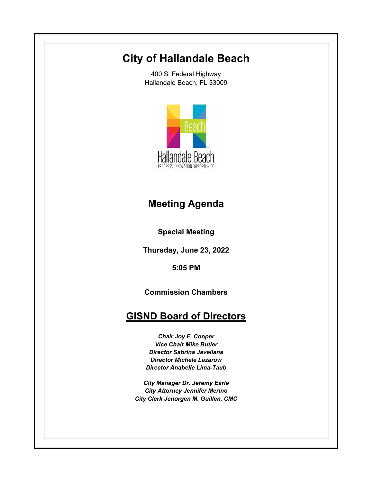# **City of Hallandale Beach**

400 S. Federal Highway Hallandale Beach, FL 33009



## **Meeting Agenda**

**Special Meeting**

**Thursday, June 23, 2022**

**5:05 PM**

**Commission Chambers**

## **GISND Board of Directors**

*Chair Joy F. Cooper Vice Chair Mike Butler Director Sabrina Javellana Director Michele Lazarow Director Anabelle Lima-Taub*

*City Manager Dr. Jeremy Earle City Attorney Jennifer Merino City Clerk Jenorgen M. Guillen, CMC*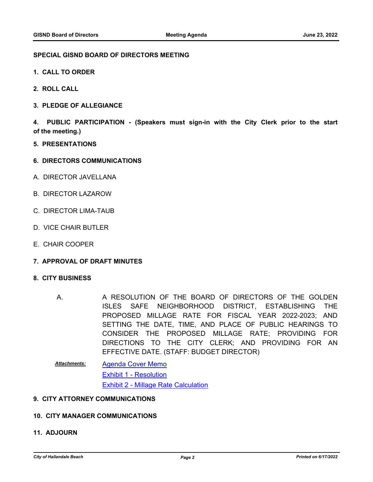### **SPECIAL GISND BOARD OF DIRECTORS MEETING**

- **1. CALL TO ORDER**
- **2. ROLL CALL**
- **3. PLEDGE OF ALLEGIANCE**

**4. PUBLIC PARTICIPATION - (Speakers must sign-in with the City Clerk prior to the start of the meeting.)**

- **5. PRESENTATIONS**
- **6. DIRECTORS COMMUNICATIONS**
- A. DIRECTOR JAVELLANA
- B. DIRECTOR LAZAROW
- C. DIRECTOR LIMA-TAUB
- D. VICE CHAIR BUTLER
- E. CHAIR COOPER
- **7. APPROVAL OF DRAFT MINUTES**

#### **8. CITY BUSINESS**

- A RESOLUTION OF THE BOARD OF DIRECTORS OF THE GOLDEN ISLES SAFE NEIGHBORHOOD DISTRICT, ESTABLISHING THE PROPOSED MILLAGE RATE FOR FISCAL YEAR 2022-2023; AND SETTING THE DATE, TIME, AND PLACE OF PUBLIC HEARINGS TO CONSIDER THE PROPOSED MILLAGE RATE; PROVIDING FOR DIRECTIONS TO THE CITY CLERK; AND PROVIDING FOR AN EFFECTIVE DATE. (STAFF: BUDGET DIRECTOR) A.
- [Agenda Cover Memo](http://hallandalebeach.legistar.com/gateway.aspx?M=F&ID=cffbea86-5786-46e3-87b3-ee5a23b4aab1.docx) [Exhibit 1 - Resolution](http://hallandalebeach.legistar.com/gateway.aspx?M=F&ID=548e951c-222a-4e48-be22-39235d55f2ea.docx) [Exhibit 2 - Millage Rate Calculation](http://hallandalebeach.legistar.com/gateway.aspx?M=F&ID=3122ba86-ccaf-429f-b2d7-1c9f1579f054.pdf) *Attachments:*

## **9. CITY ATTORNEY COMMUNICATIONS**

#### **10. CITY MANAGER COMMUNICATIONS**

### **11. ADJOURN**